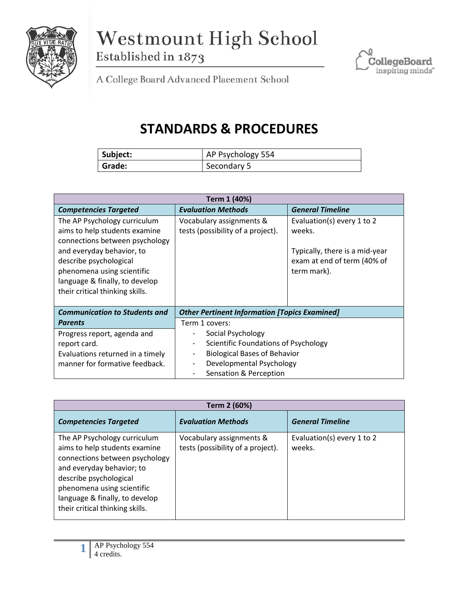

Westmount High School Established in 1873



A College Board Advanced Placement School

## **STANDARDS & PROCEDURES**

| Subject: | AP Psychology 554 |
|----------|-------------------|
| Grade:   | Secondary 5       |

| Term 1 (40%)                                                                                                                                                                                                                                              |                                                                                                                                                        |                                                                                                                      |  |  |
|-----------------------------------------------------------------------------------------------------------------------------------------------------------------------------------------------------------------------------------------------------------|--------------------------------------------------------------------------------------------------------------------------------------------------------|----------------------------------------------------------------------------------------------------------------------|--|--|
| <b>Competencies Targeted</b>                                                                                                                                                                                                                              | <b>Evaluation Methods</b>                                                                                                                              | <b>General Timeline</b>                                                                                              |  |  |
| The AP Psychology curriculum<br>aims to help students examine<br>connections between psychology<br>and everyday behavior, to<br>describe psychological<br>phenomena using scientific<br>language & finally, to develop<br>their critical thinking skills. | Vocabulary assignments &<br>tests (possibility of a project).                                                                                          | Evaluation(s) every 1 to 2<br>weeks.<br>Typically, there is a mid-year<br>exam at end of term (40% of<br>term mark). |  |  |
| <b>Communication to Students and</b>                                                                                                                                                                                                                      | <b>Other Pertinent Information [Topics Examined]</b>                                                                                                   |                                                                                                                      |  |  |
| <b>Parents</b>                                                                                                                                                                                                                                            | Term 1 covers:                                                                                                                                         |                                                                                                                      |  |  |
| Progress report, agenda and<br>report card.<br>Evaluations returned in a timely<br>manner for formative feedback.                                                                                                                                         | Social Psychology<br>Scientific Foundations of Psychology<br><b>Biological Bases of Behavior</b><br>Developmental Psychology<br>Sensation & Perception |                                                                                                                      |  |  |

| Term 2 (60%)                                                                                                                                                                                                                                              |                                                               |                                      |  |  |
|-----------------------------------------------------------------------------------------------------------------------------------------------------------------------------------------------------------------------------------------------------------|---------------------------------------------------------------|--------------------------------------|--|--|
| <b>Competencies Targeted</b>                                                                                                                                                                                                                              | <b>Evaluation Methods</b>                                     | <b>General Timeline</b>              |  |  |
| The AP Psychology curriculum<br>aims to help students examine<br>connections between psychology<br>and everyday behavior; to<br>describe psychological<br>phenomena using scientific<br>language & finally, to develop<br>their critical thinking skills. | Vocabulary assignments &<br>tests (possibility of a project). | Evaluation(s) every 1 to 2<br>weeks. |  |  |

**1**